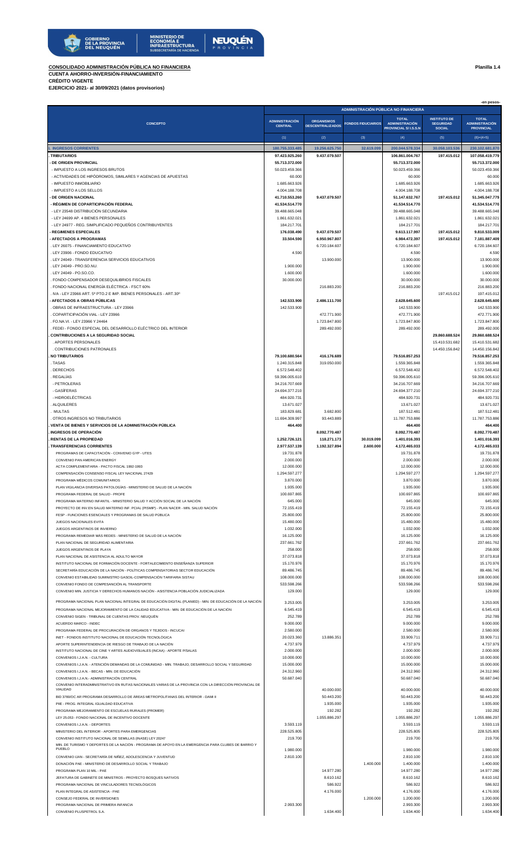

**CONSOLIDADO ADMINISTRACIÓN PÚBLICA NO FINANCIERA Planilla 1.4**

**CUENTA AHORRO-INVERSIÓN-FINANCIAMIENTO CRÉDITO VIGENTE**

**EJERCICIO 2021- al 30/09/2021 (datos provisorios)**

|                                                                                                                                                                                                     |                                         | -en pesos-<br>ADMINISTRACIÓN PÚBLICA NO FINANCIERA |                           |                                                                      |                                                          |                                                            |  |  |  |
|-----------------------------------------------------------------------------------------------------------------------------------------------------------------------------------------------------|-----------------------------------------|----------------------------------------------------|---------------------------|----------------------------------------------------------------------|----------------------------------------------------------|------------------------------------------------------------|--|--|--|
| <b>CONCEPTO</b>                                                                                                                                                                                     | <b>ADMINISTRACIÓN</b><br><b>CENTRAL</b> | <b>ORGANISMOS</b><br><b>DESCENTRALIZADOS</b>       | <b>FONDOS FIDUCIARIOS</b> | <b>TOTAL</b><br><b>ADMINISTRACIÓN</b><br><b>PROVINCIAL S/I.S.S.N</b> | <b>INSTITUTO DE</b><br><b>SEGURIDAD</b><br><b>SOCIAL</b> | <b>TOTAL</b><br><b>ADMINISTRACIÓN</b><br><b>PROVINCIAL</b> |  |  |  |
|                                                                                                                                                                                                     | (1)                                     | (2)                                                | (3)                       | (4)                                                                  | (5)                                                      | $(6)=(4+5)$                                                |  |  |  |
| <b>INGRESOS CORRIENTES</b>                                                                                                                                                                          | 180.755.333.485                         | 19.256.625.750                                     | 32.619.099                | 200.044.578.334                                                      | 30.058.103.536                                           | 230.102.681.870                                            |  |  |  |
| . TRIBUTARIOS                                                                                                                                                                                       | 97.423.925.260                          | 9.437.079.507                                      |                           | 106.861.004.767                                                      | 197.415.012                                              | 107.058.419.779                                            |  |  |  |
| - DE ORIGEN PROVINCIAL<br>- IMPUESTO A LOS INGRESOS BRUTOS                                                                                                                                          | 55.713.372.000<br>50.023.459.366        |                                                    |                           | 55.713.372.000<br>50.023.459.366                                     |                                                          | 55.713.372.000<br>50.023.459.366                           |  |  |  |
| - ACTIVIDADES DE HIPÓDROMOS, SIMILARES Y AGENCIAS DE APUESTAS                                                                                                                                       | 60.000                                  |                                                    |                           | 60.000                                                               |                                                          | 60.000                                                     |  |  |  |
| - IMPUESTO INMOBILIARIO                                                                                                                                                                             | 1.685.663.926                           |                                                    |                           | 1.685.663.926                                                        |                                                          | 1.685.663.926                                              |  |  |  |
| - IMPUESTO A LOS SELLOS<br><b>DE ORIGEN NACIONAL</b>                                                                                                                                                | 4.004.188.708<br>41.710.553.260         | 9.437.079.507                                      |                           | 4.004.188.708<br>51.147.632.767                                      | 197.415.012                                              | 4.004.188.708<br>51.345.047.779                            |  |  |  |
| - RÉGIMEN DE COPARTICIPACIÓN FEDERAL                                                                                                                                                                | 41.534.514.770                          |                                                    |                           | 41.534.514.770                                                       |                                                          | 41.534.514.770                                             |  |  |  |
| - LEY 23548 DISTRIBUCIÓN SECUNDARIA                                                                                                                                                                 | 39.488.665.048                          |                                                    |                           | 39.488.665.048                                                       |                                                          | 39.488.665.048                                             |  |  |  |
| - LEY 24699 AP. 4 BIENES PERSONALES<br>- LEY 24977 - REG. SIMPLIFICADO PEQUEÑOS CONTRIBUYENTES                                                                                                      | 1.861.632.021<br>184.217.701            |                                                    |                           | 1.861.632.021<br>184.217.701                                         |                                                          | 1.861.632.021<br>184.217.701                               |  |  |  |
| <b>- REGIMENES ESPECIALES</b>                                                                                                                                                                       | 176.038.490                             | 9.437.079.507                                      |                           | 9.613.117.997                                                        | 197.415.012                                              | 9.810.533.009                                              |  |  |  |
| - AFECTADOS A PROGRAMAS                                                                                                                                                                             | 33.504.590                              | 6.950.967.807                                      |                           | 6.984.472.397                                                        | 197.415.012                                              | 7.181.887.409                                              |  |  |  |
| . LEY 26075 - FINANCIAMIENTO EDUCATIVO<br>. LEY 23906 - FONDO EDUCATIVO                                                                                                                             | 4.590                                   | 6.720.184.607                                      |                           | 6.720.184.607<br>4.590                                               |                                                          | 6.720.184.607<br>4.590                                     |  |  |  |
| . LEY 24049 - TRANSFERENCIA SERVICIOS EDUCATIVOS                                                                                                                                                    |                                         | 13.900.000                                         |                           | 13.900.000                                                           |                                                          | 13.900.000                                                 |  |  |  |
| . LEY 24049 - PRO.SO.NU.                                                                                                                                                                            | 1.900.000                               |                                                    |                           | 1.900.000                                                            |                                                          | 1.900.000                                                  |  |  |  |
| . LEY 24049 - PO.SO.CO.<br>. FONDO COMPENSADOR DESEQUILIBRIOS FISCALES                                                                                                                              | 1.600.000<br>30.000.000                 |                                                    |                           | 1.600.000<br>30.000.000                                              |                                                          | 1.600.000<br>30.000.000                                    |  |  |  |
| . FONDO NACIONAL ENERGÍA ELÉCTRICA - FSCT 60%                                                                                                                                                       |                                         | 216.883.200                                        |                           | 216.883.200                                                          |                                                          | 216.883.200                                                |  |  |  |
| . IVA - LEY 23966 ART. 5º PTO.2 E IMP. BIENES PERSONALES - ART.30º                                                                                                                                  |                                         |                                                    |                           |                                                                      | 197.415.012                                              | 197.415.012                                                |  |  |  |
| - AFECTADOS A OBRAS PÚBLICAS<br>. OBRAS DE INFRAESTRUCTURA - LEY 23966                                                                                                                              | 142.533.900<br>142.533.900              | 2.486.111.700                                      |                           | 2.628.645.600<br>142.533.900                                         |                                                          | 2.628.645.600<br>142.533.900                               |  |  |  |
| . COPARTICIPACIÓN VIAL - LEY 23966                                                                                                                                                                  |                                         | 472.771.900                                        |                           | 472.771.900                                                          |                                                          | 472.771.900                                                |  |  |  |
| . FO.NA.VI. - LEY 23966 Y 24464                                                                                                                                                                     |                                         | 1.723.847.800                                      |                           | 1.723.847.800                                                        |                                                          | 1.723.847.800                                              |  |  |  |
| . FEDEI - FONDO ESPECIAL DEL DESARROLLO ELÉCTRICO DEL INTERIOR<br><b>CONTRIBUCIONES A LA SEGURIDAD SOCIAL</b>                                                                                       |                                         | 289.492.000                                        |                           | 289.492.000                                                          | 29.860.688.524                                           | 289.492.000<br>29.860.688.524                              |  |  |  |
| . APORTES PERSONALES                                                                                                                                                                                |                                         |                                                    |                           |                                                                      | 15.410.531.682                                           | 15.410.531.682                                             |  |  |  |
| . CONTRIBUCIONES PATRONALES                                                                                                                                                                         |                                         |                                                    |                           |                                                                      | 14.450.156.842                                           | 14.450.156.842                                             |  |  |  |
| <b>NO TRIBUTARIOS</b><br>. TASAS                                                                                                                                                                    | 79.100.680.564<br>1.240.315.848         | 416.176.689<br>319.050.000                         |                           | 79.516.857.253<br>1.559.365.848                                      |                                                          | 79.516.857.253<br>1.559.365.848                            |  |  |  |
| DERECHOS                                                                                                                                                                                            | 6.572.548.402                           |                                                    |                           | 6.572.548.402                                                        |                                                          | 6.572.548.402                                              |  |  |  |
| . REGALÍAS                                                                                                                                                                                          | 59.396.005.610                          |                                                    |                           | 59.396.005.610                                                       |                                                          | 59.396.005.610                                             |  |  |  |
| - PETROLERAS<br>- GASÍFERAS                                                                                                                                                                         | 34.216.707.669<br>24.694.377.210        |                                                    |                           | 34.216.707.669<br>24.694.377.210                                     |                                                          | 34.216.707.669<br>24.694.377.210                           |  |  |  |
| - HIDROELÉCTRICAS                                                                                                                                                                                   | 484.920.731                             |                                                    |                           | 484.920.731                                                          |                                                          | 484.920.731                                                |  |  |  |
| . ALQUILERES                                                                                                                                                                                        | 13.671.027                              |                                                    |                           | 13.671.027                                                           |                                                          | 13.671.027                                                 |  |  |  |
| . MULTAS<br>. OTROS INGRESOS NO TRIBUTARIOS                                                                                                                                                         | 183.829.681<br>11.694.309.997           | 3.682.800<br>93.443.889                            |                           | 187.512.481<br>11.787.753.886                                        |                                                          | 187.512.481<br>11.787.753.886                              |  |  |  |
| VENTA DE BIENES Y SERVICIOS DE LA ADMINISTRACIÓN PÚBLICA                                                                                                                                            | 464.400                                 |                                                    |                           | 464.400                                                              |                                                          | 464.400                                                    |  |  |  |
| <b>INGRESOS DE OPERACIÓN</b>                                                                                                                                                                        |                                         | 8.092.770.487                                      |                           | 8.092.770.487                                                        |                                                          | 8.092.770.487                                              |  |  |  |
| RENTAS DE LA PROPIEDAD<br>. TRANSFERENCIAS CORRIENTES                                                                                                                                               | 1.252.726.121<br>2.977.537.139          | 118.271.173<br>1.192.327.894                       | 30.019.099<br>2.600.000   | 1.401.016.393<br>4.172.465.033                                       |                                                          | 1.401.016.393<br>4.172.465.033                             |  |  |  |
| PROGRAMAS DE CAPACITACIÓN - CONVENIO GYP - UTES                                                                                                                                                     | 19.731.878                              |                                                    |                           | 19.731.878                                                           |                                                          | 19.731.878                                                 |  |  |  |
| CONVENIO PAN AMERICAN ENERGY                                                                                                                                                                        | 2.000.000                               |                                                    |                           | 2.000.000                                                            |                                                          | 2.000.000                                                  |  |  |  |
| ACTA COMPLEMENTARIA - PACTO FISCAL 1992-1993                                                                                                                                                        | 12.000.000                              |                                                    |                           | 12.000.000                                                           |                                                          | 12.000.000                                                 |  |  |  |
| COMPENSACIÓN CONSENSO FISCAL LEY NACIONAL 27429<br>PROGRAMA MÉDICOS COMUNITARIOS                                                                                                                    | 1.294.597.277<br>3.870.000              |                                                    |                           | 1.294.597.277<br>3.870.000                                           |                                                          | 1.294.597.277<br>3.870.000                                 |  |  |  |
| PLAN VIGILANCIA DIVERSAS PATOLOGÍAS - MINISTERIO DE SALUD DE LA NACIÓN                                                                                                                              | 1.935.000                               |                                                    |                           | 1.935.000                                                            |                                                          | 1.935.000                                                  |  |  |  |
| PROGRAMA FEDERAL DE SALUD - PROFE                                                                                                                                                                   | 100.697.865                             |                                                    |                           | 100.697.865                                                          |                                                          | 100.697.865                                                |  |  |  |
| PROGRAMA MATERNO INFANTIL - MINISTERIO SALUD Y ACCIÓN SOCIAL DE LA NACIÓN<br>PROYECTO DE INV.EN SALUD MATERNO INF. PCIAL (PISMIP) - PLAN NACER - MIN. SALUD NACIÓN                                  | 645.000<br>72.155.419                   |                                                    |                           | 645.000<br>72.155.419                                                |                                                          | 645.000<br>72.155.419                                      |  |  |  |
| FESP - FUNCIONES ESENCIALES Y PROGRAMAS DE SALUD PÚBLICA                                                                                                                                            | 25.800.000                              |                                                    |                           | 25.800.000                                                           |                                                          | 25.800.000                                                 |  |  |  |
| JUEGOS NACIONALES EVITA                                                                                                                                                                             | 15.480.000                              |                                                    |                           | 15.480.000                                                           |                                                          | 15.480.000                                                 |  |  |  |
| JUEGOS ARGENTINOS DE INVIERNO<br>PROGRAMA REMEDIAR MÁS REDES - MINISTERIO DE SALUD DE LA NACIÓN                                                                                                     | 1.032.000<br>16.125.000                 |                                                    |                           | 1.032.000<br>16.125.000                                              |                                                          | 1.032.000<br>16.125.000                                    |  |  |  |
| PLAN NACIONAL DE SEGURIDAD ALIMENTARIA                                                                                                                                                              | 237.661.762                             |                                                    |                           | 237.661.762                                                          |                                                          | 237.661.762                                                |  |  |  |
| JUEGOS ARGENTINOS DE PLAYA                                                                                                                                                                          | 258.000                                 |                                                    |                           | 258.000                                                              |                                                          | 258.000                                                    |  |  |  |
| PLAN NACIONAL DE ASISTENCIA AL ADULTO MAYOR<br>INSTITUTO NACIONAL DE FORMACIÓN DOCENTE - FORTALECIMIENTO ENSEÑANZA SUPERIOR                                                                         | 37.073.818<br>15.170.976                |                                                    |                           | 37.073.818<br>15.170.976                                             |                                                          | 37.073.818<br>15.170.976                                   |  |  |  |
| SECRETARÍA EDUCACIÓN DE LA NACIÓN - POLÍTICAS COMPENSATORIAS SECTOR EDUCACIÓN                                                                                                                       | 89.486.745                              |                                                    |                           | 89.486.745                                                           |                                                          | 89.486.745                                                 |  |  |  |
| CONVENIO ESTABILIDAD SUMINISTRO GASOIL-COMPENSACIÓN TARIFARIA SISTAU                                                                                                                                | 108.000.000                             |                                                    |                           | 108.000.000                                                          |                                                          | 108.000.000                                                |  |  |  |
| CONVENIO FONDO DE COMPESANCIÓN AL TRANSPORTE<br>CONVENIO MIN. JUSTICIA Y DERECHOS HUMANOS NACIÓN - ASISTENCIA POBLACIÓN JUDICIALIZADA                                                               | 533.598.266<br>129.000                  |                                                    |                           | 533.598.266<br>129,000                                               |                                                          | 533.598.266<br>129.000                                     |  |  |  |
|                                                                                                                                                                                                     |                                         |                                                    |                           |                                                                      |                                                          |                                                            |  |  |  |
| PROGRAMA NACIONAL PLAN NACIONAL INTEGRAL DE EDUCACIÓN DIGITAL (PLANIED) - MIN. DE EDUCACIÓN DE LA NACIÓN<br>PROGRAMA NACIONAL MEJORAMIENTO DE LA CALIDAD EDUCATIVA - MIN. DE EDUCACIÓN DE LA NACIÓN | 3.253.005<br>6.545.419                  |                                                    |                           | 3.253.005<br>6.545.419                                               |                                                          | 3.253.005<br>6.545.419                                     |  |  |  |
| CONVENIO SIGEN - TRIBUNAL DE CUENTAS PROV. NEUQUÉN                                                                                                                                                  | 252.789                                 |                                                    |                           | 252.789                                                              |                                                          | 252.789                                                    |  |  |  |
| ACUERDO MARCO - INDEC                                                                                                                                                                               | 9.000.000                               |                                                    |                           | 9.000.000                                                            |                                                          | 9.000.000                                                  |  |  |  |
| PROGRAMA FEDERAL DE PROCURACIÓN DE ORGANOS Y TEJIDOS - INCUCAI<br>INET - FONDOS INSTITUTO NACIONAL DE EDUCACIÓN TECNOLÓGICA                                                                         | 2.580.000<br>20.023.360                 | 13.886.351                                         |                           | 2.580.000<br>33.909.711                                              |                                                          | 2.580.000<br>33.909.711                                    |  |  |  |
| APORTE SUPERINTENDENCIA DE RIESGO DE TRABAJO DE LA NACIÓN                                                                                                                                           | 4.737.979                               |                                                    |                           | 4.737.979                                                            |                                                          | 4.737.979                                                  |  |  |  |
| INSTITUTO NACIONAL DE CINE Y ARTES AUDIOVISUALES (INCAA) - APORTE P/SALAS                                                                                                                           | 2.000.000                               |                                                    |                           | 2.000.000                                                            |                                                          | 2.000.000                                                  |  |  |  |
| CONVENIOS I.J.A.N. - CULTURA<br>CONVENIOS I.J.A.N. - ATENCIÓN DEMANDAS DE LA COMUNIDAD - MIN. TRABAJO, DESARROLLO SOCIAL Y SEGURIDAD                                                                | 10.000.000<br>15.000.000                |                                                    |                           | 10.000.000<br>15.000.000                                             |                                                          | 10.000.000<br>15.000.000                                   |  |  |  |
| CONVENIOS I.J.A.N. - BECAS - MIN. DE EDUCACIÓN                                                                                                                                                      | 24.312.960                              |                                                    |                           | 24.312.960                                                           |                                                          | 24.312.960                                                 |  |  |  |
| CONVENIOS I.J.A.N.- ADMINISTRACIÓN CENTRAL                                                                                                                                                          | 50.687.040                              |                                                    |                           | 50.687.040                                                           |                                                          | 50.687.040                                                 |  |  |  |
| CONVENIO INTERADMINISTRATIVO EN RUTAS NACIONALES VARIAS DE LA PROVINCIA CON LA DIRECCIÓN PROVINCIAL DE<br>VIALIDAD                                                                                  |                                         | 40.000.000                                         |                           | 40.000.000                                                           |                                                          | 40.000.000                                                 |  |  |  |
| BID 3780/OC AR PROGRAMA DESARROLLO DE ÁREAS METROPOLITANAS DEL INTERIOR - DAMI II                                                                                                                   |                                         | 50.443.200                                         |                           | 50.443.200                                                           |                                                          | 50.443.200                                                 |  |  |  |
| PIIE - PROG. INTEGRAL IGUALDAD EDUCATIVA                                                                                                                                                            |                                         | 1.935.000                                          |                           | 1.935.000                                                            |                                                          | 1.935.000<br>192.282                                       |  |  |  |
| PROGRAMA MEJORAMIENTO DE ESCUELAS RURALES (PROMER)<br>LEY 25.053 - FONDO NACIONAL DE INCENTIVO DOCENTE                                                                                              |                                         | 192.282<br>1.055.886.297                           |                           | 192.282<br>1.055.886.297                                             |                                                          | 1.055.886.297                                              |  |  |  |
| CONVENIOS I.J.A.N. - DEPORTES                                                                                                                                                                       | 3.593.119                               |                                                    |                           | 3.593.119                                                            |                                                          | 3.593.119                                                  |  |  |  |
| MINISTERIO DEL INTERIOR - APORTES PARA EMERGENCIAS                                                                                                                                                  | 228.525.805                             |                                                    |                           | 228.525.805                                                          |                                                          | 228.525.805                                                |  |  |  |
| CONVENIO INSTITUTO NACIONAL DE SEMILLAS (INASE) LEY 20247<br>MIN. DE TURISMO Y DEPORTES DE LA NACIÓN - PROGRAMA DE APOYO EN LA EMERGENCIA PARA CLUBES DE BARRIO Y                                   | 219.700                                 |                                                    |                           | 219.700                                                              |                                                          | 219.700                                                    |  |  |  |
| PUEBLO                                                                                                                                                                                              | 1.980.000                               |                                                    |                           | 1.980.000                                                            |                                                          | 1.980.000                                                  |  |  |  |
| CONVENIO IJAN - SECRETARÍA DE NIÑEZ, ADOLESCENCIA Y JUVENTUD                                                                                                                                        | 2.810.100                               |                                                    |                           | 2.810.100                                                            |                                                          | 2.810.100                                                  |  |  |  |
| DONACIÓN PAE - MINISTERIO DE DESARROLLO SOCIAL Y TRABAJO<br>PROGRAMA PLAN 10 MIL - PAE                                                                                                              |                                         | 14.977.280                                         | 1.400.000                 | 1.400.000<br>14.977.280                                              |                                                          | 1.400.000<br>14.977.280                                    |  |  |  |
| JEFATURA DE GABINETE DE MINISTROS - PROYECTO BOSQUES NATIVOS                                                                                                                                        |                                         | 8.610.162                                          |                           | 8.610.162                                                            |                                                          | 8.610.162                                                  |  |  |  |
| PROGRAMA NACIONAL DE VINCULADORES TECNOLÓGICOS                                                                                                                                                      |                                         | 586.922                                            |                           | 586.922                                                              |                                                          | 586.922                                                    |  |  |  |
| PLAN INTEGRAL DE ASISTENCIA - PAE<br>CONSEJO FEDERAL DE INVERSIONES                                                                                                                                 |                                         | 4.176.000                                          | 1.200.000                 | 4.176.000<br>1.200.000                                               |                                                          | 4.176.000<br>1.200.000                                     |  |  |  |
| PROGRAMA NACIONAL DE PRIMERA INFANCIA                                                                                                                                                               | 2.993.300                               |                                                    |                           | 2.993.300                                                            |                                                          | 2.993.300                                                  |  |  |  |
| CONVENIO PLUSPETROL S.A.                                                                                                                                                                            |                                         | 1.634.400                                          |                           | 1.634.400                                                            |                                                          | 1.634.400                                                  |  |  |  |
|                                                                                                                                                                                                     |                                         |                                                    |                           |                                                                      |                                                          |                                                            |  |  |  |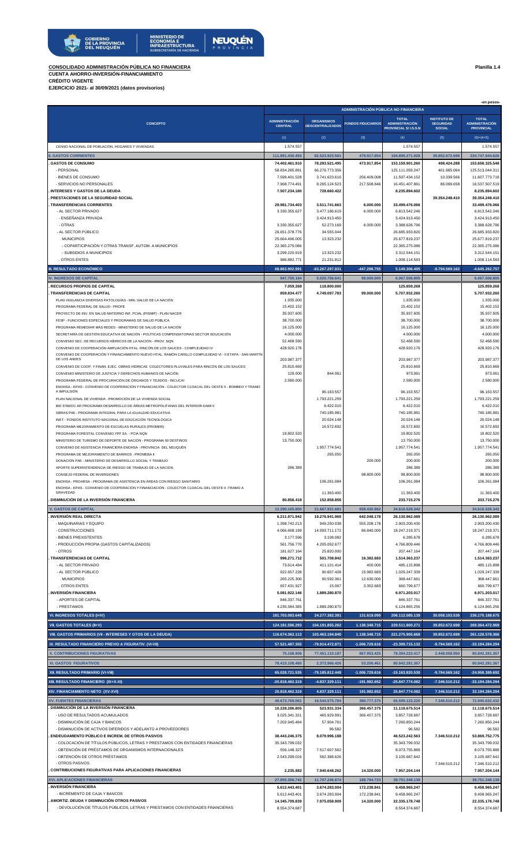**CONSOLIDADO ADMINISTRACIÓN PÚBLICA NO FINANCIERA Planilla 1.4**

**CUENTA AHORRO-INVERSIÓN-FINANCIAMIENTO CRÉDITO VIGENTE**

**EJERCICIO 2021- al 30/09/2021 (datos provisorios)**

 **-en pesos-** (1) (2) (3) (4) (5) (6)=(4+5) **CONCEPTO ADMINISTRACIÓN PÚBLICA NO FINANCIERA ADMINISTRACIÓN CENTRAL ORGANISMOS DESCENTRALIZADOS FONDOS FIDUCIARIOS TOTAL ADMINISTRACIÓN PROVINCIAL S/ I.S.S.N INSTITUTO DE SEGURIDAD SOCIAL TOTAL ADMINISTRACIÓN PROVINCIAL**  CENSO NACIONAL DE POBLACIÓN, HOGARES Y VIVIENDAS **1.574.557** 1.574.557 1.574.557 1.574.557 1.574.557 1.574.557 1.574.557 **II. GASTOS CORRIENTES 111.891.430.493 82.523.923.581 479.917.854 194.895.271.928 39.852.672.698 234.747.944.626 . GASTOS DE CONSUMO 74.402.461.910 78.283.521.495 473.917.854 153.159.901.260 498.424.288 153.658.325.548** - PERSONAL 58.834.285.891 66.276.773.356 125.111.059.247 401.985.064 125.513.044.311 - BIENES DE CONSUMO 7.599.401.528 3.741.623.616 256.409.008 11.597.434.152 10.339.566 11.607.773.718 - SERVICIOS NO PERSONALES 7.968.774.491 8.265.124.523 217.508.846 16.451.407.861 86.099.658 16.537.507.519 **. INTERESES Y GASTOS DE LA DEUDA 7.507.234.180 728.660.422 8.235.894.602 8.235.894.602 . PRESTACIONES DE LA SEGURIDAD SOCIAL 39.354.248.410 39.354.248.410 . TRANSFERENCIAS CORRIENTES 29.981.734.403 3.511.741.663 6.000.000 33.499.476.066 33.499.476.066** - AL SECTOR PRIVADO 3.330.355.627 | 3.477.186.619 | 6.813.542.246 | 6.813.542.246 - ENSEÑANZA PRIVADA 3.424.913.450 3.424.913.450 3.424.913.450 - OTRAS 3.330.355.627 52.273.169 6.000.000 3.388.628.796 3.388.628.796 - AL SECTOR PÚBLICO 26.651.378.776 34.555.044 26.685.933.820 26.685.933.820 . MUNICIPIOS 25.664.496.005 13.323.232 25.677.819.237 25.677.819.237 - COPARTICIPACIÓN Y OTRAS TRANSF. AUTOM. A MUNICIPIOS 22.365.275.086 22.365.275.086 22.365.275.086 22.365.275.086 22.365.275.086 22.365.275.086 22.365.275.086 22.365.275.086 22.365.275.086 22.365.275.086 22.365.275.086 22. - SUBSIDIOS A MUNICIPIOS 3.299.220.919 13.323.232 3.312.544.151 3.312.544.151 . OTROS ENTES 986.882.771 21.231.812 1.008.114.583 1.008.114.583 **III. RESULTADO ECONÓMICO 68.863.902.991 -63.267.297.831 -447.298.755 5.149.306.405 -9.794.569.162 -4.645.262.757 IV. INGRESOS DE CAPITAL 947.750.164 5.020.756.641 99.000.000 6.067.506.805 6.067.506.805 . RECURSOS PROPIOS DE CAPITAL 7.059.268 118.800.000 125.859.268 125.859.268 . TRANSFERENCIAS DE CAPITAL 859.834.477 4.749.097.783 99.000.000 5.707.932.260 5.707.932.260** PLAN VIGILANCIA DIVERSAS PATOLOGÍAS - MIN. SALUD DE LA NACIÓN 1.935.000 **1.935.000** 1.935.000 1.935.000 1.935.000 1.935.000 1.935.000 1.935.000 1.935.000 1.935.000 1.935.000 1.935.000 1.935.000 1.935.000 1.935.000 1.935.00 PROGRAMA FEDERAL DE SALUD - PROFE 15.402.152 15.402.152 15.402.152 15.402.152 15.402.152 15.402.152 15.402.152 PROYECTO DE INV. EN SALUD MATERNO INF. PCIAL (PISMIP) - PLAN NACER SALUD MATER DE REGIONAL SE SUBSEX SOLUTION DE REGIONAL SE SUBSEX SOLUTION DE REGIONAL SE SUBSEX SOLUTION DE REGIONAL SE SUBSEX SOLUTION DE REGIONAL SE SUBS FESP - FUNCIONES ESPECIALES Y PROGRAMAS DE SALUD PÚBLICA 38.700.000 38.700.000 38.700.000 PROGRAMA REMEDIAR MÁS REDES - MINISTERIO DE SALUD DE LA NACIÓN 16.125.000 16.125.000 16.125.000 16.125.000 16.125.000 16.125.000 16.125.000 16.125.000 16.125.000 16.125.000 16.125.000 16.125.000 16.125.000 16.125.000 16.12 SECRETARÍA DE GESTIÓN EDUCATIVA DE NACIÓN - POLÍTICAS COMPENSATORIAS SECTOR EDUCACIÓN 4.000.000 4.000.000 4.000.000 CONVENIO SEC. DE RECURSOS HÍDRICOS DE LA NACIÓN - PROV. NQN 52.468.590 52.468.590 52.468.590 52.468.590 52.468.590 52.468.590 52.468.590 52.468.590 52.468.590 52.468.590 52.468.590 52.468.590 52.468.590 52.468.590 52.468.5 CONVENIO DE COOPERACIÓN AMPLIACIÓN HTAL. RINCÓN DE LOS SAUCES - COMPLEJIDAD IV 428.920.176 428.920.176 428.920.176 428.920.176 428.920.176 428.920.176 428.920.176 428.920.176 428.920.176 428.920.176 428.920.176 428.920.176 CONVENIO DE COOPERACIÓN Y FINANCIAMIENTO NUEVO HTAL. RAMÓN CARILLO COMPLEJIDAD VI - II ETAPA - SAN MARTÍN DE LOS ANDES 203.987.377 203.987.377 203.987.377 CONVENIO DE COOP. Y FINAN. EJEC. OBRAS HÍDRICAS COLECTORES PLUVIALES PARA RINCÓN DE LOS SAUCES 25.810.669 25.810.669 25.810.069 25.810.669 25.810.669 25.810.669 25.810.669 25.810.669 25.810.669 25.810.669 25.810.669 25.810 CONVENIO MINISTERIO DE JUSTICIA Y DERECHOS HUMANOS DE NACIÓN **129.000** 129.000 844.061 973.061 973.061 973.061 973.061 PROGRAMA FEDERAL DE PROCURACIÓN DE ÓRGANOS Y TEJIDOS - INCUCAI 2000 AND ENSIGNEDADES DE LA CONSULTATIVA DE LA CONSULTATIVA DE LA CONSULTATIVA DE LA CONSULTATIVA DE LA CONSULTATIVA DE LA CONSULTATIVA DE LA CONSULTATIVA DE L ENOHSA - EPAS - CONVENIO DE COOPERACIÓN Y FINANCIACIÓN - COLECTOR CLOACAL DEL OESTE II - BOMBEO Y TRAMO A IMPULSIÓN 96.163.557 96.163.557 96.163.557 PLAN NACIONAL DE VIVIENDA - PROMOCIÓN DE LA VIVIENDA SOCIAL 1.793.221.259 1.793.221.259 1.793.221.259 1.793.221.259 1.793.221.259 1.793.221.259 1.793.221.259 1.793.221.259 1.793.221.259 BID 3780/OC AR PROGRAMA DESARROLLO DE ÁREAS METROPOLITANAS DEL INTERIOR-DAMI II 6.422.010 6.422.010 6.422.010

OBRAS PIIE - PROGRAMA INTEGRAL PARA LA IGUALDAD EDUCATIVA 740.185.981 AND 740.185.981 740.185.981 740.185.981 740.185.981 INET - FONDOS INSTITUTO NACIONAL DE EDUCACIÓN TECNOLÓGICA 2002 A LA COLLECTIVA EN LA COLLECTIVA EN LA COLLECTIVA EN LA COLLECTIVA EN LA COLLECTIVA EN LA COLLECTIVA EN LA COLLECTIVA EN LA COLLECTIVA EN LA COLLECTIVA EN LA C PROGRAMA MEJORAMIENTO DE ESCUELAS RURALES (PROMER) 16.572.692 16.572.692 16.572.692 16.572.692 16.572.692

| PROGRAMA FORESTAL CONVENIO YPF SA. - PCIA NON                                                                                | 19.802.520                      |                 |                  | 19.802.520                      |                  | 19.802.520                      |
|------------------------------------------------------------------------------------------------------------------------------|---------------------------------|-----------------|------------------|---------------------------------|------------------|---------------------------------|
| MINISTERIO DE TURISMO DE DEPORTE DE NACIÓN - PROGRAMA 50 DESTINOS                                                            | 13.750.000                      |                 |                  | 13.750.000                      |                  | 13.750.000                      |
| CONVENIO DE ASISTENCIA FINANCIERA ENOHSA - PROVINCIA DEL NEUQUÉN                                                             |                                 | 1.957.774.541   |                  | 1.957.774.541                   |                  | 1.957.774.541                   |
| PROGRAMA DE MEJORAMIENTO DE BARRIOS - PROMEBA II                                                                             |                                 | 265.050         |                  | 265.050                         |                  | 265.050                         |
| DONACIÓN PAE - MINISTERIO DE DESARROLLO SOCIAL Y TRABAJO                                                                     |                                 |                 | 200.000          | 200.000                         |                  | 200.000                         |
| APORTE SUPERINTENDENCIA DE RIESGO DE TRABAJO DE LA NACION                                                                    | 286.389                         |                 |                  | 286.389                         |                  | 286.389                         |
| CONSEJO FEDERAL DE INVERSIONES                                                                                               |                                 |                 | 98.800.000       | 98.800.000                      |                  | 98.800.000                      |
| ENOHSA - PROARSA - PROGRAMA DE ASISTENCIA EN ÁREAS CON RIESGO SANITARIO                                                      |                                 | 106.261.084     |                  | 106.261.084                     |                  | 106.261.084                     |
| ENOHSA - EPAS - CONVENIO DE COOPERACIÓN Y FINANCIACIÓN - COLECTOR CLOACAL DEL OESTE II -TRAMO A                              |                                 |                 |                  |                                 |                  |                                 |
| GRAVEDAD                                                                                                                     |                                 | 11.363.400      |                  | 11.363.400                      |                  | 11.363.400                      |
| DISMINUCIÓN DE LA INVERSIÓN FINANCIERA                                                                                       | 80.856.418                      | 152.858.858     |                  | 233.715.276                     |                  | 233.715.276                     |
| <b>V. GASTOS DE CAPITAL</b>                                                                                                  | 12.290.165.800                  | 21.667.931.681  | 658.430.862      | 34.616.528.342                  |                  | 34.616.528.342                  |
| <b>INVERSION REAL DIRECTA</b>                                                                                                | 6.211.971.942                   | 19.276.941.969  | 642.048.178      | 26.130.962.089                  |                  | 26.130.962.089                  |
| - MAQUINARIAS Y EQUIPO                                                                                                       | 1.398.742.213                   | 949.250.038     | 555.208.178      | 2.903.200.430                   |                  | 2.903.200.430                   |
| - CONSTRUCCIONES                                                                                                             | 4.066.668.199                   | 14.093.711.172  | 86.840.000       | 18.247.219.371                  |                  | 18.247.219.371                  |
| - BIENES PREXISTENTES                                                                                                        | 3.177.596                       | 3.108.082       |                  | 6.285.678                       |                  | 6.285.678                       |
| - PRODUCCIÓN PROPIA (GASTOS CAPITALIZADOS)                                                                                   | 561.756.770                     | 4.205.052.677   |                  | 4.766.809.446                   |                  | 4.766.809.446                   |
| - OTROS                                                                                                                      | 181.627.164                     | 25.820.000      |                  | 207.447.164                     |                  | 207.447.164                     |
| <b>TRANSFERENCIAS DE CAPITAL</b>                                                                                             | 996.271.712                     | 501.708.842     | 16.382.683       | 1.514.363.237                   |                  | 1.514.363.237                   |
| - AL SECTOR PRIVADO                                                                                                          | 73.614.484                      | 411.101.414     | 400.000          | 485.115.898                     |                  | 485.115.898                     |
| - AL SECTOR PÚBLICO                                                                                                          | 922.657.228                     | 90.607.428      | 15.982.683       | 1.029.247.339                   |                  | 1.029.247.339                   |
|                                                                                                                              |                                 |                 |                  |                                 |                  |                                 |
| . MUNICIPIOS                                                                                                                 | 265.225.300                     | 90.592.361      | 12.630.000       | 368.447.661                     |                  | 368.447.661                     |
| . OTROS ENTES                                                                                                                | 657.431.927                     | 15.067          | 3.352.683        | 660.799.677                     |                  | 660.799.677                     |
| <b>INVERSIÓN FINANCIERA</b>                                                                                                  | 5.081.922.146                   | 1.889.280.870   |                  | 6.971.203.017                   |                  | 6.971.203.017                   |
| - APORTES DE CAPITAL                                                                                                         | 846.337.761                     |                 |                  | 846.337.761                     |                  | 846.337.761                     |
| - PRESTAMOS                                                                                                                  | 4.235.584.385                   | 1.889.280.870   |                  | 6.124.865.256                   |                  | 6.124.865.256                   |
| <b>VI. INGRESOS TOTALES (I+IV)</b>                                                                                           | 181.703.083.649                 | 24.277.382.391  | 131.619.099      | 206.112.085.139                 | 30.058.103.536   | 236.170.188.675                 |
|                                                                                                                              |                                 |                 |                  |                                 |                  |                                 |
| <b>VII. GASTOS TOTALES (II+V)</b>                                                                                            | 124.181.596.293                 | 104.191.855.262 | 1.138.348.715    | 229.511.800.271                 | 39.852.672.698   | 269.364.472.969                 |
| VIII. GASTOS PRIMARIOS (VII - INTERESES Y GTOS DE LA DEUDA)                                                                  | 116.674.362.113                 | 103.463.194.840 | 1.138.348.715    | 221.275.905.668                 | 39.852.672.698   | 261.128.578.366                 |
| IX. RESULTADO FINANCIERO PREVIO A FIGURATIV. (VI-VII)                                                                        | 57.521.487.355                  | -79.914.472.871 | $-1.006.729.616$ | $-23.399.715.132$               | $-9.794.569.162$ | -33.194.284.294                 |
| <b>X. CONTRIBUCIONES FIGURATIVAS</b>                                                                                         | 75.158.806                      | 77.451.110.187  | 867.953.425      | 78.394.222.417                  | 2.448.058.950    | 80.842.281.367                  |
| <b>XI. GASTOS FIGURATIVOS</b>                                                                                                | 78.415.108.480                  | 2.373.966.426   | 53.206.461       | 80.842.281.367                  |                  | 80.842.281.367                  |
| XII. RESULTADO PRIMARIO (VI-VIII)                                                                                            | 65.028.721.535                  | -79.185.812.449 | $-1.006.729.616$ | -15.163.820.530                 | -9.794.569.162   | -24.958.389.692                 |
| XIII. RESULTADO FINANCIERO (IX+X-XI)                                                                                         | $-20.818.462.319$               | -4.837.329.111  | $-191.982.652$   | -25.847.774.082                 | -7.346.510.212   | -33.194.284.294                 |
| XIV. FINANCIAMIENTO NETO (XV-XVI)                                                                                            | 20.818.462.319                  | 4.837.329.111   | 191.982.652      | 25.847.774.082                  | 7.346.510.212    | 33.194.284.294                  |
| <b>XV. FUENTES FINANCIERAS</b>                                                                                               | 48.673.769.062                  | 16.544.575.784  | 380.777.375      | 65.599.122.220                  | 7.346.510.212    | 72.945.632.432                  |
| DISMINUCIÓN DE LA INVERSIÓN FINANCIERA                                                                                       | 10.228.286.805                  |                 | 366.457.375      | 11.118.675.514                  |                  | 11.118.675.514                  |
|                                                                                                                              |                                 | 523.931.334     |                  |                                 |                  |                                 |
| - USO DE RESULTADOS ACUMULADOS                                                                                               | 3.025.341.321                   | 465.929.991     | 366.457.375      | 3.857.728.687                   |                  | 3.857.728.687                   |
| - DISMINUCIÓN DE CAJA Y BANCOS                                                                                               | 7.202.945.484                   | 57.904.761      |                  | 7.260.850.244                   |                  | 7.260.850.244                   |
| - DISMINUCIÓN DE ACTIVOS DIFERIDOS Y ADELANTO A PROVEEDORES                                                                  |                                 | 96.582          |                  | 96.582                          |                  | 96.582                          |
| <b>ENDEUDAMIENTO PÚBLICO E INCREM. DE OTROS PASIVOS</b>                                                                      | 38.443.246.375                  | 8.079.996.188   |                  | 46.523.242.563                  | 7.346.510.212    | 53.869.752.775                  |
| - COLOCACIÓN DE TÍTULOS PÚBLICOS, LETRAS Y PRESTAMOS CON ENTIDADES FINANCIERAS                                               | 35.343.799.032                  |                 |                  | 35.343.799.032                  |                  | 35.343.799.032                  |
| - OBTENCIÓN DE PRÉSTAMOS DE ORGANISMOS INTERNACIONALES                                                                       | 556.148.327                     | 7.517.607.562   |                  | 8.073.755.889                   |                  | 8.073.755.889                   |
| - OBTENCIÓN DE OTROS PRÉSTAMOS                                                                                               | 2.543.299.016                   | 562.388.626     |                  | 3.105.687.642                   |                  | 3.105.687.642                   |
| - OTROS PASIVOS                                                                                                              |                                 |                 |                  |                                 | 7.346.510.212    | 7.346.510.212                   |
| <b>CONTRIBUCIONES FIGURATIVAS PARA APLICACIONES FINANCIERAS</b>                                                              | 2.235.882                       | 7.940.648.262   | 14.320.000       | 7.957.204.144                   |                  | 7.957.204.144                   |
| XVI. APLICACIONES FINANCIERAS                                                                                                | 27.855.306.742                  | 11.707.246.674  | 188.794.723      | 39.751.348.138                  |                  | 39.751.348.138                  |
| <b>INVERSION FINANCIERA</b>                                                                                                  | 5.612.443.401                   | 3.674.283.004   | 172.238.841      | 9.458.965.247                   |                  | 9.458.965.247                   |
| - INCREMENTO DE CAJA Y BANCOS                                                                                                | 5.612.443.401                   | 3.674.283.004   | 172.238.841      | 9.458.965.247                   |                  | 9.458.965.247                   |
| AMORTIZ. DEUDA Y DISMINUCIÓN OTROS PASIVOS<br>- DEVOLUCIÓN DE TÍTULOS PÚBLICOS, LETRAS Y PRESTAMOS CON ENTIDADES FINANCIERAS | 14.345.799.839<br>8.554.374.687 | 7.975.058.909   | 14.320.000       | 22.335.178.748<br>8.554.374.687 |                  | 22.335.178.748<br>8.554.374.687 |